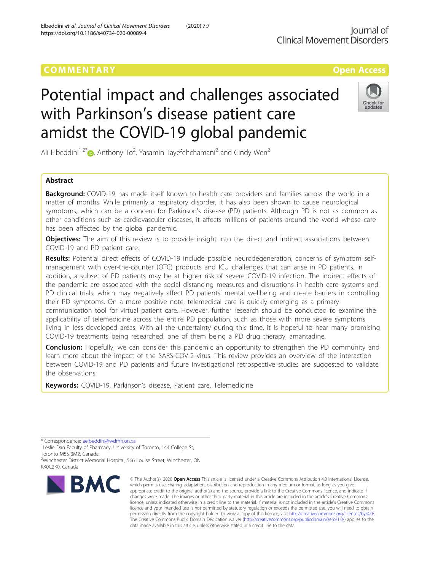https://doi.org/10.1186/s40734-020-00089-4

Elbeddini et al. Journal of Clinical Movement Disorders (2020) 7:7

## COMM EN TARY Open Access

# Potential impact and challenges associated with Parkinson's disease patient care amidst the COVID-19 global pandemic



Ali Elbeddini<sup>1[,](http://orcid.org/0000-0002-3339-6203)2\*</sup> •, Anthony To<sup>2</sup>, Yasamin Tayefehchamani<sup>2</sup> and Cindy Wen<sup>2</sup>

### Abstract

**Background:** COVID-19 has made itself known to health care providers and families across the world in a matter of months. While primarily a respiratory disorder, it has also been shown to cause neurological symptoms, which can be a concern for Parkinson's disease (PD) patients. Although PD is not as common as other conditions such as cardiovascular diseases, it affects millions of patients around the world whose care has been affected by the global pandemic.

Objectives: The aim of this review is to provide insight into the direct and indirect associations between COVID-19 and PD patient care.

Results: Potential direct effects of COVID-19 include possible neurodegeneration, concerns of symptom selfmanagement with over-the-counter (OTC) products and ICU challenges that can arise in PD patients. In addition, a subset of PD patients may be at higher risk of severe COVID-19 infection. The indirect effects of the pandemic are associated with the social distancing measures and disruptions in health care systems and PD clinical trials, which may negatively affect PD patients' mental wellbeing and create barriers in controlling their PD symptoms. On a more positive note, telemedical care is quickly emerging as a primary communication tool for virtual patient care. However, further research should be conducted to examine the applicability of telemedicine across the entire PD population, such as those with more severe symptoms living in less developed areas. With all the uncertainty during this time, it is hopeful to hear many promising COVID-19 treatments being researched, one of them being a PD drug therapy, amantadine.

**Conclusion:** Hopefully, we can consider this pandemic an opportunity to strengthen the PD community and learn more about the impact of the SARS-COV-2 virus. This review provides an overview of the interaction between COVID-19 and PD patients and future investigational retrospective studies are suggested to validate the observations.

Keywords: COVID-19, Parkinson's disease, Patient care, Telemedicine

\* Correspondence: [aelbeddini@wdmh.on.ca](mailto:aelbeddini@wdmh.on.ca) <sup>1</sup>

<sup>1</sup> Leslie Dan Faculty of Pharmacy, University of Toronto, 144 College St, Toronto M5S 3M2, Canada

<sup>2</sup>Winchester District Memorial Hospital, 566 Louise Street, Winchester, ON KK0C2K0, Canada



<sup>©</sup> The Author(s), 2020 **Open Access** This article is licensed under a Creative Commons Attribution 4.0 International License, which permits use, sharing, adaptation, distribution and reproduction in any medium or format, as long as you give appropriate credit to the original author(s) and the source, provide a link to the Creative Commons licence, and indicate if changes were made. The images or other third party material in this article are included in the article's Creative Commons licence, unless indicated otherwise in a credit line to the material. If material is not included in the article's Creative Commons licence and your intended use is not permitted by statutory regulation or exceeds the permitted use, you will need to obtain permission directly from the copyright holder. To view a copy of this licence, visit [http://creativecommons.org/licenses/by/4.0/.](http://creativecommons.org/licenses/by/4.0/) The Creative Commons Public Domain Dedication waiver [\(http://creativecommons.org/publicdomain/zero/1.0/](http://creativecommons.org/publicdomain/zero/1.0/)) applies to the data made available in this article, unless otherwise stated in a credit line to the data.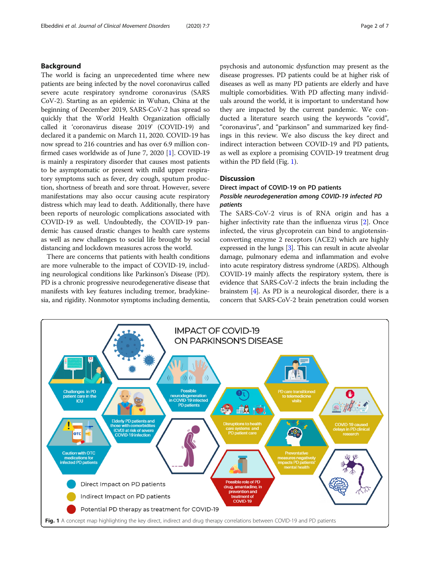#### Background

The world is facing an unprecedented time where new patients are being infected by the novel coronavirus called severe acute respiratory syndrome coronavirus (SARS CoV-2). Starting as an epidemic in Wuhan, China at the beginning of December 2019, SARS-CoV-2 has spread so quickly that the World Health Organization officially called it 'coronavirus disease 2019' (COVID-19) and declared it a pandemic on March 11, 2020. COVID-19 has now spread to 216 countries and has over 6.9 million confirmed cases worldwide as of June 7, 2020 [\[1\]](#page-5-0). COVID-19 is mainly a respiratory disorder that causes most patients to be asymptomatic or present with mild upper respiratory symptoms such as fever, dry cough, sputum production, shortness of breath and sore throat. However, severe manifestations may also occur causing acute respiratory distress which may lead to death. Additionally, there have been reports of neurologic complications associated with COVID-19 as well. Undoubtedly, the COVID-19 pandemic has caused drastic changes to health care systems as well as new challenges to social life brought by social distancing and lockdown measures across the world.

There are concerns that patients with health conditions are more vulnerable to the impact of COVID-19, including neurological conditions like Parkinson's Disease (PD). PD is a chronic progressive neurodegenerative disease that manifests with key features including tremor, bradykinesia, and rigidity. Nonmotor symptoms including dementia, psychosis and autonomic dysfunction may present as the disease progresses. PD patients could be at higher risk of diseases as well as many PD patients are elderly and have multiple comorbidities. With PD affecting many individuals around the world, it is important to understand how they are impacted by the current pandemic. We conducted a literature search using the keywords "covid", "coronavirus", and "parkinson" and summarized key findings in this review. We also discuss the key direct and indirect interaction between COVID-19 and PD patients, as well as explore a promising COVID-19 treatment drug within the PD field (Fig. 1).

#### **Discussion**

#### Direct impact of COVID-19 on PD patients Possible neurodegeneration among COVID-19 infected PD patients

The SARS-CoV-2 virus is of RNA origin and has a higher infectivity rate than the influenza virus [[2\]](#page-5-0). Once infected, the virus glycoprotein can bind to angiotensinconverting enzyme 2 receptors (ACE2) which are highly expressed in the lungs [[3\]](#page-5-0). This can result in acute alveolar damage, pulmonary edema and inflammation and evolve into acute respiratory distress syndrome (ARDS). Although COVID-19 mainly affects the respiratory system, there is evidence that SARS-CoV-2 infects the brain including the brainstem [\[4](#page-5-0)]. As PD is a neurological disorder, there is a concern that SARS-CoV-2 brain penetration could worsen

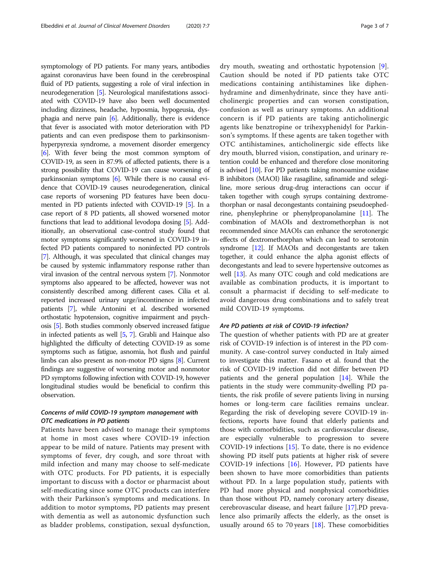symptomology of PD patients. For many years, antibodies against coronavirus have been found in the cerebrospinal fluid of PD patients, suggesting a role of viral infection in neurodegeneration [\[5\]](#page-5-0). Neurological manifestations associated with COVID-19 have also been well documented including dizziness, headache, hyposmia, hypogeusia, dysphagia and nerve pain [\[6](#page-5-0)]. Additionally, there is evidence that fever is associated with motor deterioration with PD patients and can even predispose them to parkinsonismhyperpyrexia syndrome, a movement disorder emergency [[6](#page-5-0)]. With fever being the most common symptom of COVID-19, as seen in 87.9% of affected patients, there is a strong possibility that COVID-19 can cause worsening of parkinsonian symptoms [[6](#page-5-0)]. While there is no causal evidence that COVID-19 causes neurodegeneration, clinical case reports of worsening PD features have been documented in PD patients infected with COVID-19 [\[5\]](#page-5-0). In a case report of 8 PD patients, all showed worsened motor functions that lead to additional levodopa dosing [\[5\]](#page-5-0). Additionally, an observational case-control study found that motor symptoms significantly worsened in COVID-19 infected PD patients compared to noninfected PD controls [[7](#page-5-0)]. Although, it was speculated that clinical changes may be caused by systemic inflammatory response rather than viral invasion of the central nervous system [[7](#page-5-0)]. Nonmotor symptoms also appeared to be affected, however was not consistently described among different cases. Cilia et al. reported increased urinary urge/incontinence in infected patients [[7](#page-5-0)], while Antonini et al. described worsened orthostatic hypotension, cognitive impairment and psychosis [\[5\]](#page-5-0). Both studies commonly observed increased fatigue in infected patients as well [\[5](#page-5-0), [7](#page-5-0)]. Grabli and Hainque also highlighted the difficulty of detecting COVID-19 as some symptoms such as fatigue, asnomia, hot flush and painful limbs can also present as non-motor PD signs [[8](#page-5-0)]. Current findings are suggestive of worsening motor and nonmotor PD symptoms following infection with COVID-19, however longitudinal studies would be beneficial to confirm this observation.

#### Concerns of mild COVID-19 symptom management with OTC medications in PD patients

Patients have been advised to manage their symptoms at home in most cases where COVID-19 infection appear to be mild of nature. Patients may present with symptoms of fever, dry cough, and sore throat with mild infection and many may choose to self-medicate with OTC products. For PD patients, it is especially important to discuss with a doctor or pharmacist about self-medicating since some OTC products can interfere with their Parkinson's symptoms and medications. In addition to motor symptoms, PD patients may present with dementia as well as autonomic dysfunction such as bladder problems, constipation, sexual dysfunction, dry mouth, sweating and orthostatic hypotension [[9](#page-5-0)]. Caution should be noted if PD patients take OTC medications containing antihistamines like diphenhydramine and dimenhydrinate, since they have anticholinergic properties and can worsen constipation, confusion as well as urinary symptoms. An additional concern is if PD patients are taking anticholinergic agents like benztropine or trihexyphenidyl for Parkinson's symptoms. If these agents are taken together with OTC antihistamines, anticholinergic side effects like dry mouth, blurred vision, constipation, and urinary retention could be enhanced and therefore close monitoring is advised [[10](#page-5-0)]. For PD patients taking monoamine oxidase B inhibitors (MAOI) like rasagiline, safinamide and selegiline, more serious drug-drug interactions can occur if taken together with cough syrups containing dextromethorphan or nasal decongestants containing pseudoephedrine, phenylephrine or phenylpropanolamine [[11](#page-6-0)]. The combination of MAOIs and dextromethorphan is not recommended since MAOIs can enhance the serotonergic effects of dextromethorphan which can lead to serotonin syndrome [\[12\]](#page-6-0). If MAOIs and decongestants are taken together, it could enhance the alpha agonist effects of decongestants and lead to severe hypertensive outcomes as well [\[13\]](#page-6-0). As many OTC cough and cold medications are available as combination products, it is important to consult a pharmacist if deciding to self-medicate to avoid dangerous drug combinations and to safely treat mild COVID-19 symptoms.

#### Are PD patients at risk of COVID-19 infection?

The question of whether patients with PD are at greater risk of COVID-19 infection is of interest in the PD community. A case-control survey conducted in Italy aimed to investigate this matter. Fasano et al. found that the risk of COVID-19 infection did not differ between PD patients and the general population [\[14\]](#page-6-0). While the patients in the study were community-dwelling PD patients, the risk profile of severe patients living in nursing homes or long-term care facilities remains unclear. Regarding the risk of developing severe COVID-19 infections, reports have found that elderly patients and those with comorbidities, such as cardiovascular disease, are especially vulnerable to progression to severe COVID-19 infections [\[15\]](#page-6-0). To date, there is no evidence showing PD itself puts patients at higher risk of severe COVID-19 infections [\[16\]](#page-6-0). However, PD patients have been shown to have more comorbidities than patients without PD. In a large population study, patients with PD had more physical and nonphysical comorbidities than those without PD, namely coronary artery disease, cerebrovascular disease, and heart failure [\[17](#page-6-0)].PD prevalence also primarily affects the elderly, as the onset is usually around 65 to 70 years  $[18]$  $[18]$ . These comorbidities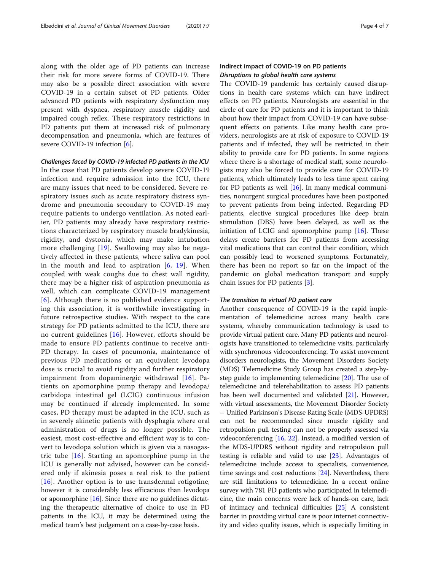along with the older age of PD patients can increase their risk for more severe forms of COVID-19. There may also be a possible direct association with severe COVID-19 in a certain subset of PD patients. Older advanced PD patients with respiratory dysfunction may present with dyspnea, respiratory muscle rigidity and impaired cough reflex. These respiratory restrictions in PD patients put them at increased risk of pulmonary decompensation and pneumonia, which are features of severe COVID-19 infection [[6\]](#page-5-0).

Challenges faced by COVID-19 infected PD patients in the ICU In the case that PD patients develop severe COVID-19 infection and require admission into the ICU, there are many issues that need to be considered. Severe respiratory issues such as acute respiratory distress syndrome and pneumonia secondary to COVID-19 may require patients to undergo ventilation. As noted earlier, PD patients may already have respiratory restrictions characterized by respiratory muscle bradykinesia, rigidity, and dystonia, which may make intubation more challenging [[19](#page-6-0)]. Swallowing may also be negatively affected in these patients, where saliva can pool in the mouth and lead to aspiration  $[6, 19]$  $[6, 19]$  $[6, 19]$  $[6, 19]$ . When coupled with weak coughs due to chest wall rigidity, there may be a higher risk of aspiration pneumonia as well, which can complicate COVID-19 management [[6](#page-5-0)]. Although there is no published evidence supporting this association, it is worthwhile investigating in future retrospective studies. With respect to the care strategy for PD patients admitted to the ICU, there are no current guidelines [\[16\]](#page-6-0). However, efforts should be made to ensure PD patients continue to receive anti-PD therapy. In cases of pneumonia, maintenance of previous PD medications or an equivalent levodopa dose is crucial to avoid rigidity and further respiratory impairment from dopaminergic withdrawal [[16\]](#page-6-0). Patients on apomorphine pump therapy and levodopa/ carbidopa intestinal gel (LCIG) continuous infusion may be continued if already implemented. In some cases, PD therapy must be adapted in the ICU, such as in severely akinetic patients with dysphagia where oral administration of drugs is no longer possible. The easiest, most cost-effective and efficient way is to convert to levodopa solution which is given via a nasogastric tube [[16](#page-6-0)]. Starting an apomorphine pump in the ICU is generally not advised, however can be considered only if akinesia poses a real risk to the patient [[16](#page-6-0)]. Another option is to use transdermal rotigotine, however it is considerably less efficacious than levodopa or apomorphine [[16](#page-6-0)]. Since there are no guidelines dictating the therapeutic alternative of choice to use in PD patients in the ICU, it may be determined using the medical team's best judgement on a case-by-case basis.

#### Indirect impact of COVID-19 on PD patients Disruptions to global health care systems

The COVID-19 pandemic has certainly caused disruptions in health care systems which can have indirect effects on PD patients. Neurologists are essential in the circle of care for PD patients and it is important to think about how their impact from COVID-19 can have subsequent effects on patients. Like many health care providers, neurologists are at risk of exposure to COVID-19 patients and if infected, they will be restricted in their ability to provide care for PD patients. In some regions where there is a shortage of medical staff, some neurologists may also be forced to provide care for COVID-19 patients, which ultimately leads to less time spent caring for PD patients as well  $[16]$  $[16]$ . In many medical communities, nonurgent surgical procedures have been postponed to prevent patients from being infected. Regarding PD patients, elective surgical procedures like deep brain stimulation (DBS) have been delayed, as well as the initiation of LCIG and apomorphine pump [[16\]](#page-6-0). These delays create barriers for PD patients from accessing vital medications that can control their condition, which can possibly lead to worsened symptoms. Fortunately, there has been no report so far on the impact of the pandemic on global medication transport and supply chain issues for PD patients [[3\]](#page-5-0).

#### The transition to virtual PD patient care

Another consequence of COVID-19 is the rapid implementation of telemedicine across many health care systems, whereby communication technology is used to provide virtual patient care. Many PD patients and neurologists have transitioned to telemedicine visits, particularly with synchronous videoconferencing. To assist movement disorders neurologists, the Movement Disorders Society (MDS) Telemedicine Study Group has created a step-bystep guide to implementing telemedicine [[20](#page-6-0)]. The use of telemedicine and telerehabilitation to assess PD patients has been well documented and validated [[21](#page-6-0)]. However, with virtual assessments, the Movement Disorder Society – Unified Parkinson's Disease Rating Scale (MDS-UPDRS) can not be recommended since muscle rigidity and retropulsion pull testing can not be properly assessed via videoconferencing [\[16,](#page-6-0) [22\]](#page-6-0). Instead, a modified version of the MDS-UPDRS without rigidity and retropulsion pull testing is reliable and valid to use [[23](#page-6-0)]. Advantages of telemedicine include access to specialists, convenience, time savings and cost reductions [[24](#page-6-0)]. Nevertheless, there are still limitations to telemedicine. In a recent online survey with 781 PD patients who participated in telemedicine, the main concerns were lack of hands-on care, lack of intimacy and technical difficulties [\[25\]](#page-6-0) A consistent barrier in providing virtual care is poor internet connectivity and video quality issues, which is especially limiting in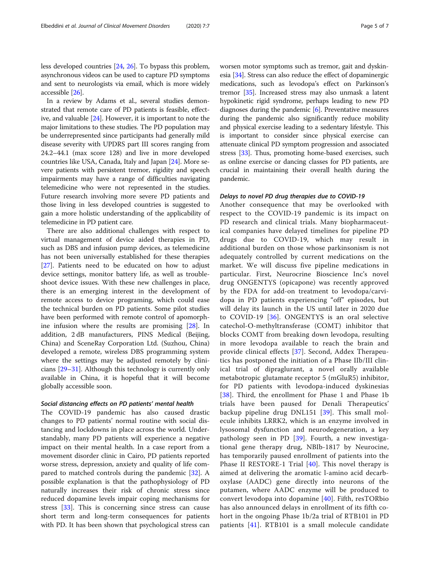less developed countries [[24](#page-6-0), [26\]](#page-6-0). To bypass this problem, asynchronous videos can be used to capture PD symptoms and sent to neurologists via email, which is more widely accessible [\[26\]](#page-6-0).

In a review by Adams et al., several studies demonstrated that remote care of PD patients is feasible, effective, and valuable [\[24](#page-6-0)]. However, it is important to note the major limitations to these studies. The PD population may be underrepresented since participants had generally mild disease severity with UPDRS part III scores ranging from 24.2–44.1 (max score 128) and live in more developed countries like USA, Canada, Italy and Japan [[24\]](#page-6-0). More severe patients with persistent tremor, rigidity and speech impairments may have a range of difficulties navigating telemedicine who were not represented in the studies. Future research involving more severe PD patients and those living in less developed countries is suggested to gain a more holistic understanding of the applicability of telemedicine in PD patient care.

There are also additional challenges with respect to virtual management of device aided therapies in PD, such as DBS and infusion pump devices, as telemedicine has not been universally established for these therapies [[27\]](#page-6-0). Patients need to be educated on how to adjust device settings, monitor battery life, as well as troubleshoot device issues. With these new challenges in place, there is an emerging interest in the development of remote access to device programing, which could ease the technical burden on PD patients. Some pilot studies have been performed with remote control of apomorphine infusion where the results are promising [\[28](#page-6-0)]. In addition, 2 dB manufacturers, PINS Medical (Beijing, China) and SceneRay Corporation Ltd. (Suzhou, China) developed a remote, wireless DBS programming system where the settings may be adjusted remotely by clinicians [\[29](#page-6-0)–[31\]](#page-6-0). Although this technology is currently only available in China, it is hopeful that it will become globally accessible soon.

#### Social distancing effects on PD patients' mental health

The COVID-19 pandemic has also caused drastic changes to PD patients' normal routine with social distancing and lockdowns in place across the world. Understandably, many PD patients will experience a negative impact on their mental health. In a case report from a movement disorder clinic in Cairo, PD patients reported worse stress, depression, anxiety and quality of life compared to matched controls during the pandemic [[32\]](#page-6-0). A possible explanation is that the pathophysiology of PD naturally increases their risk of chronic stress since reduced dopamine levels impair coping mechanisms for stress [[33\]](#page-6-0). This is concerning since stress can cause short term and long-term consequences for patients with PD. It has been shown that psychological stress can worsen motor symptoms such as tremor, gait and dyskinesia [\[34\]](#page-6-0). Stress can also reduce the effect of dopaminergic medications, such as levodopa's effect on Parkinson's tremor [\[35\]](#page-6-0). Increased stress may also unmask a latent hypokinetic rigid syndrome, perhaps leading to new PD diagnoses during the pandemic  $[6]$  $[6]$ . Preventative measures during the pandemic also significantly reduce mobility and physical exercise leading to a sedentary lifestyle. This is important to consider since physical exercise can attenuate clinical PD symptom progression and associated stress [\[33\]](#page-6-0). Thus, promoting home-based exercises, such as online exercise or dancing classes for PD patients, are crucial in maintaining their overall health during the pandemic.

#### Delays to novel PD drug therapies due to COVID-19

Another consequence that may be overlooked with respect to the COVID-19 pandemic is its impact on PD research and clinical trials. Many biopharmaceutical companies have delayed timelines for pipeline PD drugs due to COVID-19, which may result in additional burden on those whose parkinsonism is not adequately controlled by current medications on the market. We will discuss five pipeline medications in particular. First, Neurocrine Bioscience Inc's novel drug ONGENTYS (opicapone) was recently approved by the FDA for add-on treatment to levodopa/carvidopa in PD patients experiencing "off" episodes, but will delay its launch in the US until later in 2020 due to COVID-19 [\[36\]](#page-6-0). ONGENTYS is an oral selective catechol-O-methyltransferase (COMT) inhibitor that blocks COMT from breaking down levodopa, resulting in more levodopa available to reach the brain and provide clinical effects [[37\]](#page-6-0). Second, Addex Therapeutics has postponed the initiation of a Phase IIb/III clinical trial of dipraglurant, a novel orally available metabotropic glutamate receptor 5 (mGluR5) inhibitor, for PD patients with levodopa-induced dyskinesias [[38](#page-6-0)]. Third, the enrollment for Phase 1 and Phase 1b trials have been paused for Denali Therapeutics' backup pipeline drug DNL151 [[39](#page-6-0)]. This small molecule inhibits LRRK2, which is an enzyme involved in lysosomal dysfunction and neurodegeneration, a key pathology seen in PD [[39\]](#page-6-0). Fourth, a new investigational gene therapy drug, NBIb-1817 by Neurocine, has temporarily paused enrollment of patients into the Phase II RESTORE-1 Trial [\[40\]](#page-6-0). This novel therapy is aimed at delivering the aromatic l-amino acid decarboxylase (AADC) gene directly into neurons of the putamen, where AADC enzyme will be produced to convert levodopa into dopamine [\[40\]](#page-6-0). Fifth, resTORbio has also announced delays in enrollment of its fifth cohort in the ongoing Phase 1b/2a trial of RTB101 in PD patients [\[41\]](#page-6-0). RTB101 is a small molecule candidate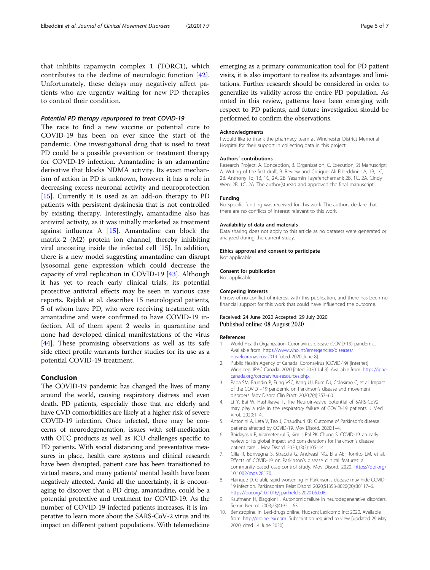<span id="page-5-0"></span>that inhibits rapamycin complex 1 (TORC1), which contributes to the decline of neurologic function [[42](#page-6-0)]. Unfortunately, these delays may negatively affect patients who are urgently waiting for new PD therapies to control their condition.

#### Potential PD therapy repurposed to treat COVID-19

The race to find a new vaccine or potential cure to COVID-19 has been on ever since the start of the pandemic. One investigational drug that is used to treat PD could be a possible prevention or treatment therapy for COVID-19 infection. Amantadine is an adamantine derivative that blocks NDMA activity. Its exact mechanism of action in PD is unknown, however it has a role in decreasing excess neuronal activity and neuroprotection [[15\]](#page-6-0). Currently it is used as an add-on therapy to PD patients with persistent dyskinesia that is not controlled by existing therapy. Interestingly, amantadine also has antiviral activity, as it was initially marketed as treatment against influenza A [\[15](#page-6-0)]. Amantadine can block the matrix-2 (M2) protein ion channel, thereby inhibiting viral uncoating inside the infected cell [\[15](#page-6-0)]. In addition, there is a new model suggesting amantadine can disrupt lysosomal gene expression which could decrease the capacity of viral replication in COVID-19 [[43\]](#page-6-0). Although it has yet to reach early clinical trials, its potential protective antiviral effects may be seen in various case reports. Rejdak et al. describes 15 neurological patients, 5 of whom have PD, who were receiving treatment with amantadine and were confirmed to have COVID-19 infection. All of them spent 2 weeks in quarantine and none had developed clinical manifestations of the virus [[44\]](#page-6-0). These promising observations as well as its safe side effect profile warrants further studies for its use as a potential COVID-19 treatment.

#### Conclusion

The COVID-19 pandemic has changed the lives of many around the world, causing respiratory distress and even death. PD patients, especially those that are elderly and have CVD comorbidities are likely at a higher risk of severe COVID-19 infection. Once infected, there may be concerns of neurodegeneration, issues with self-medication with OTC products as well as ICU challenges specific to PD patients. With social distancing and preventative measures in place, health care systems and clinical research have been disrupted, patient care has been transitioned to virtual means, and many patients' mental health have been negatively affected. Amid all the uncertainty, it is encouraging to discover that a PD drug, amantadine, could be a potential protective and treatment for COVID-19. As the number of COVID-19 infected patients increases, it is imperative to learn more about the SARS-CoV-2 virus and its impact on different patient populations. With telemedicine emerging as a primary communication tool for PD patient visits, it is also important to realize its advantages and limitations. Further research should be considered in order to generalize its validity across the entire PD population. As noted in this review, patterns have been emerging with respect to PD patients, and future investigation should be performed to confirm the observations.

#### Acknowledgments

I would like to thank the pharmacy team at Winchester District Memorial Hospital for their support in collecting data in this project.

#### Authors' contributions

Research Project: A. Conception, B. Organization, C. Execution; 2) Manuscript: A. Writing of the first draft, B. Review and Critique. Ali Elbeddini: 1A, 1B, 1C, 2B. Anthony To; 1B, 1C, 2A, 2B. Yasamin Tayefehchamani; 2B, 1C, 2A. Cindy Wen; 2B, 1C, 2A. The author(s) read and approved the final manuscript.

#### Funding

No specific funding was received for this work. The authors declare that there are no conflicts of interest relevant to this work.

#### Availability of data and materials

Data sharing does not apply to this article as no datasets were generated or analyzed during the current study.

#### Ethics approval and consent to participate

Not applicable.

#### Consent for publication

Not applicable.

#### Competing interests

I know of no conflict of interest with this publication, and there has been no financial support for this work that could have influenced the outcome.

#### Received: 24 June 2020 Accepted: 29 July 2020 Published online: 08 August 2020

#### References

- 1. World Health Organization. Coronavirus disease (COVID-19) pandemic. Available from: [https://www.who.int/emergencies/diseases/](https://www.who.int/emergencies/diseases/novelcoronavirus-2019) [novelcoronavirus-2019](https://www.who.int/emergencies/diseases/novelcoronavirus-2019) [cited 2020 June 8].
- 2. Public Health Agency of Canada. Coronavirus (COVID-19) [Internet]. Winnipeg: IPAC Canada. 2020 [cited 2020 Jul 3]. Available from: [https://ipac](https://ipac-canada.org/coronavirus-resources.php)[canada.org/coronavirus-resources.php.](https://ipac-canada.org/coronavirus-resources.php)
- 3. Papa SM, Brundin P, Fung VSC, Kang UJ, Burn DJ, Colosimo C, et al. Impact of the COVID −19 pandemic on Parkinson's disease and movement disorders. Mov Disord Clin Pract. 2020;7(4):357–60.
- 4. Li Y, Bai W, Hashikawa T. The Neuroinvasive potential of SARS-CoV2 may play a role in the respiratory failure of COVID-19 patients. J Med Virol. 2020:1–4.
- 5. Antonini A, Leta V, Teo J, Chaudhuri KR. Outcome of Parkinson's disease patients affected by COVID-19. Mov Disord. 2020:1–4.
- 6. Bhidayasiri R, Virameteekul S, Kim J, Pal PK, Chung S. COVID-19: an early review of its global impact and considerations for Parkinson's disease patient care. J Mov Disord. 2020;13(2):105–14.
- 7. Cilia R, Bonvegna S, Straccia G, Andreasi NG, Elia AE, Romito LM, et al. Effects of COVID-19 on Parkinson's disease clinical features: a community-based case-control study. Mov Disord. 2020. [https://doi.org/](https://doi.org/10.1002/mds.28170) [10.1002/mds.28170.](https://doi.org/10.1002/mds.28170)
- 8. Hainque D. Grabli, rapid worsening in Parkinson's disease may hide COVID-19 infection. Parkinsonism Relat Disord. 2020;S1353-8020(20):30117–6. [https://doi.org/10.1016/j.parkreldis.2020.05.008.](https://doi.org/10.1016/j.parkreldis.2020.05.008)
- 9. Kaufmann H, Biaggioni I. Autonomic failure in neurodegenerative disorders. Semin Neurol. 2003;23(4):351–63.
- 10. Benztropine. In: Lexi-drugs online. Hudson: Lexicomp Inc; 2020. Available from: [http://online.lexi.com.](http://online.lexi.com) Subscription required to view [updated 29 May 2020; cited 14 June 2020].